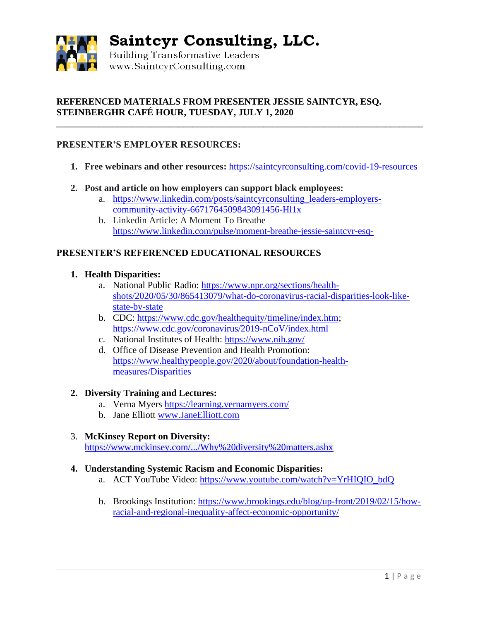

Saintcyr Consulting, LLC.

Building Transformative Leaders www.SaintcvrConsulting.com

# **REFERENCED MATERIALS FROM PRESENTER JESSIE SAINTCYR, ESQ. STEINBERGHR CAFÉ HOUR, TUESDAY, JULY 1, 2020**

## **PRESENTER'S EMPLOYER RESOURCES:**

**1. Free webinars and other resources:** <https://saintcyrconsulting.com/covid-19-resources>

**\_\_\_\_\_\_\_\_\_\_\_\_\_\_\_\_\_\_\_\_\_\_\_\_\_\_\_\_\_\_\_\_\_\_\_\_\_\_\_\_\_\_\_\_\_\_\_\_\_\_\_\_\_\_\_\_\_\_\_\_\_\_\_\_\_\_\_\_\_\_\_\_\_\_\_\_\_\_**

- **2. Post and article on how employers can support black employees:**
	- a. [https://www.linkedin.com/posts/saintcyrconsulting\\_leaders-employers](https://www.linkedin.com/posts/saintcyrconsulting_leaders-employers-community-activity-6671764509843091456-Hl1x)[community-activity-6671764509843091456-Hl1x](https://www.linkedin.com/posts/saintcyrconsulting_leaders-employers-community-activity-6671764509843091456-Hl1x)
	- b. Linkedin Article: A Moment To Breathe <https://www.linkedin.com/pulse/moment-breathe-jessie-saintcyr-esq->

## **PRESENTER'S REFERENCED EDUCATIONAL RESOURCES**

#### **1. Health Disparities:**

- a. National Public Radio: [https://www.npr.org/sections/health](https://www.npr.org/sections/health-shots/2020/05/30/865413079/what-do-coronavirus-racial-disparities-look-like-state-by-state)[shots/2020/05/30/865413079/what-do-coronavirus-racial-disparities-look-like](https://www.npr.org/sections/health-shots/2020/05/30/865413079/what-do-coronavirus-racial-disparities-look-like-state-by-state)[state-by-state](https://www.npr.org/sections/health-shots/2020/05/30/865413079/what-do-coronavirus-racial-disparities-look-like-state-by-state)
- b. CDC: [https://www.cdc.gov/healthequity/timeline/index.htm;](https://www.cdc.gov/healthequity/timeline/index.htm) <https://www.cdc.gov/coronavirus/2019-nCoV/index.html>
- c. National Institutes of Health:<https://www.nih.gov/>
- d. Office of Disease Prevention and Health Promotion: [https://www.healthypeople.gov/2020/about/foundation-health](https://www.healthypeople.gov/2020/about/foundation-health-measures/Disparities)[measures/Disparities](https://www.healthypeople.gov/2020/about/foundation-health-measures/Disparities)

#### **2. Diversity Training and Lectures:**

- a. Verna Myers<https://learning.vernamyers.com/>
- b. Jane Elliott [www.JaneElliott.com](http://www.janeelliott.com/)

## 3. **McKinsey Report on Diversity:**

<https://www.mckinsey.com/.../Why%20diversity%20matters.ashx>

#### **4. Understanding Systemic Racism and Economic Disparities:**

- a. ACT YouTube Video: [https://www.youtube.com/watch?v=YrHIQIO\\_bdQ](https://www.youtube.com/watch?v=YrHIQIO_bdQ)
- b. Brookings Institution: [https://www.brookings.edu/blog/up-front/2019/02/15/how](https://www.brookings.edu/blog/up-front/2019/02/15/how-racial-and-regional-inequality-affect-economic-opportunity/)[racial-and-regional-inequality-affect-economic-opportunity/](https://www.brookings.edu/blog/up-front/2019/02/15/how-racial-and-regional-inequality-affect-economic-opportunity/)